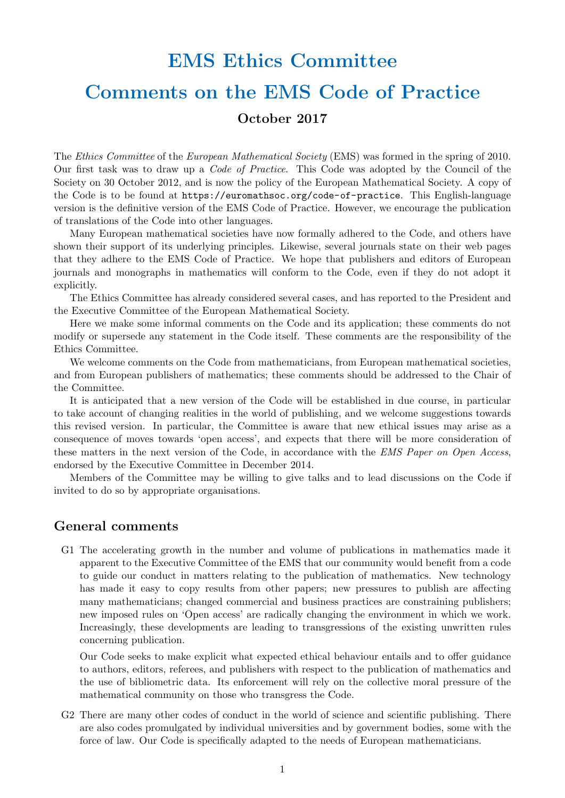# EMS Ethics Committee Comments on the EMS Code of Practice October 2017

The Ethics Committee of the European Mathematical Society (EMS) was formed in the spring of 2010. Our first task was to draw up a Code of Practice. This Code was adopted by the Council of the Society on 30 October 2012, and is now the policy of the European Mathematical Society. A copy of the Code is to be found at https://euromathsoc.org/code-of-practice. This English-language

Many European mathematical societies have now formally adhered to the Code, and others have shown their support of its underlying principles. Likewise, several journals state on their web pages that they adhere to the EMS Code of Practice. We hope that publishers and editors of European journals and monographs in mathematics will conform to the Code, even if they do not adopt it explicitly.

version is the definitive version of the EMS Code of Practice. However, we encourage the publication

The Ethics Committee has already considered several cases, and has reported to the President and the Executive Committee of the European Mathematical Society.

Here we make some informal comments on the Code and its application; these comments do not modify or supersede any statement in the Code itself. These comments are the responsibility of the Ethics Committee.

We welcome comments on the Code from mathematicians, from European mathematical societies, and from European publishers of mathematics; these comments should be addressed to the Chair of the Committee.

It is anticipated that a new version of the Code will be established in due course, in particular to take account of changing realities in the world of publishing, and we welcome suggestions towards this revised version. In particular, the Committee is aware that new ethical issues may arise as a consequence of moves towards 'open access', and expects that there will be more consideration of these matters in the next version of the Code, in accordance with the EMS Paper on Open Access, endorsed by the Executive Committee in December 2014.

Members of the Committee may be willing to give talks and to lead discussions on the Code if invited to do so by appropriate organisations.

#### General comments

of translations of the Code into other languages.

G1 The accelerating growth in the number and volume of publications in mathematics made it apparent to the Executive Committee of the EMS that our community would benefit from a code to guide our conduct in matters relating to the publication of mathematics. New technology has made it easy to copy results from other papers; new pressures to publish are affecting many mathematicians; changed commercial and business practices are constraining publishers; new imposed rules on 'Open access' are radically changing the environment in which we work. Increasingly, these developments are leading to transgressions of the existing unwritten rules concerning publication.

Our Code seeks to make explicit what expected ethical behaviour entails and to offer guidance to authors, editors, referees, and publishers with respect to the publication of mathematics and the use of bibliometric data. Its enforcement will rely on the collective moral pressure of the mathematical community on those who transgress the Code.

G2 There are many other codes of conduct in the world of science and scientific publishing. There are also codes promulgated by individual universities and by government bodies, some with the force of law. Our Code is specifically adapted to the needs of European mathematicians.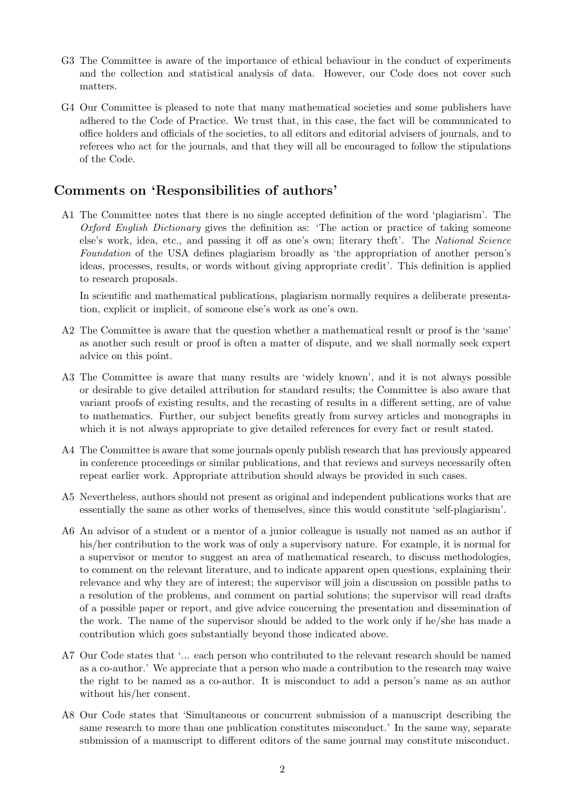- G3 The Committee is aware of the importance of ethical behaviour in the conduct of experiments and the collection and statistical analysis of data. However, our Code does not cover such matters.
- G4 Our Committee is pleased to note that many mathematical societies and some publishers have adhered to the Code of Practice. We trust that, in this case, the fact will be communicated to office holders and officials of the societies, to all editors and editorial advisers of journals, and to referees who act for the journals, and that they will all be encouraged to follow the stipulations of the Code.

#### Comments on 'Responsibilities of authors'

A1 The Committee notes that there is no single accepted definition of the word 'plagiarism'. The Oxford English Dictionary gives the definition as: 'The action or practice of taking someone else's work, idea, etc., and passing it off as one's own; literary theft'. The National Science Foundation of the USA defines plagiarism broadly as 'the appropriation of another person's ideas, processes, results, or words without giving appropriate credit'. This definition is applied to research proposals.

In scientific and mathematical publications, plagiarism normally requires a deliberate presentation, explicit or implicit, of someone else's work as one's own.

- A2 The Committee is aware that the question whether a mathematical result or proof is the 'same' as another such result or proof is often a matter of dispute, and we shall normally seek expert advice on this point.
- A3 The Committee is aware that many results are 'widely known', and it is not always possible or desirable to give detailed attribution for standard results; the Committee is also aware that variant proofs of existing results, and the recasting of results in a different setting, are of value to mathematics. Further, our subject benefits greatly from survey articles and monographs in which it is not always appropriate to give detailed references for every fact or result stated.
- A4 The Committee is aware that some journals openly publish research that has previously appeared in conference proceedings or similar publications, and that reviews and surveys necessarily often repeat earlier work. Appropriate attribution should always be provided in such cases.
- A5 Nevertheless, authors should not present as original and independent publications works that are essentially the same as other works of themselves, since this would constitute 'self-plagiarism'.
- A6 An advisor of a student or a mentor of a junior colleague is usually not named as an author if his/her contribution to the work was of only a supervisory nature. For example, it is normal for a supervisor or mentor to suggest an area of mathematical research, to discuss methodologies, to comment on the relevant literature, and to indicate apparent open questions, explaining their relevance and why they are of interest; the supervisor will join a discussion on possible paths to a resolution of the problems, and comment on partial solutions; the supervisor will read drafts of a possible paper or report, and give advice concerning the presentation and dissemination of the work. The name of the supervisor should be added to the work only if he/she has made a contribution which goes substantially beyond those indicated above.
- A7 Our Code states that '... each person who contributed to the relevant research should be named as a co-author.' We appreciate that a person who made a contribution to the research may waive the right to be named as a co-author. It is misconduct to add a person's name as an author without his/her consent.
- A8 Our Code states that 'Simultaneous or concurrent submission of a manuscript describing the same research to more than one publication constitutes misconduct.' In the same way, separate submission of a manuscript to different editors of the same journal may constitute misconduct.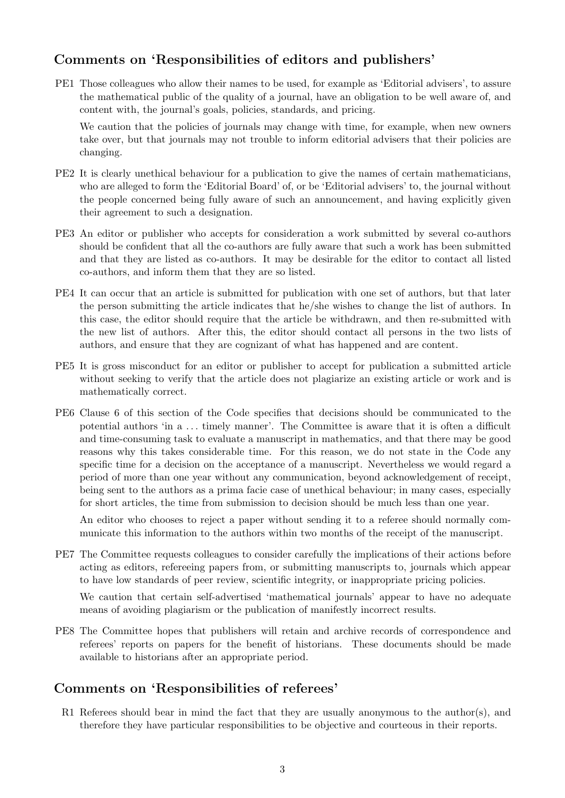# Comments on 'Responsibilities of editors and publishers'

PE1 Those colleagues who allow their names to be used, for example as 'Editorial advisers', to assure the mathematical public of the quality of a journal, have an obligation to be well aware of, and content with, the journal's goals, policies, standards, and pricing.

We caution that the policies of journals may change with time, for example, when new owners take over, but that journals may not trouble to inform editorial advisers that their policies are changing.

- PE2 It is clearly unethical behaviour for a publication to give the names of certain mathematicians, who are alleged to form the 'Editorial Board' of, or be 'Editorial advisers' to, the journal without the people concerned being fully aware of such an announcement, and having explicitly given their agreement to such a designation.
- PE3 An editor or publisher who accepts for consideration a work submitted by several co-authors should be confident that all the co-authors are fully aware that such a work has been submitted and that they are listed as co-authors. It may be desirable for the editor to contact all listed co-authors, and inform them that they are so listed.
- PE4 It can occur that an article is submitted for publication with one set of authors, but that later the person submitting the article indicates that he/she wishes to change the list of authors. In this case, the editor should require that the article be withdrawn, and then re-submitted with the new list of authors. After this, the editor should contact all persons in the two lists of authors, and ensure that they are cognizant of what has happened and are content.
- PE5 It is gross misconduct for an editor or publisher to accept for publication a submitted article without seeking to verify that the article does not plagiarize an existing article or work and is mathematically correct.
- PE6 Clause 6 of this section of the Code specifies that decisions should be communicated to the potential authors 'in a . . . timely manner'. The Committee is aware that it is often a difficult and time-consuming task to evaluate a manuscript in mathematics, and that there may be good reasons why this takes considerable time. For this reason, we do not state in the Code any specific time for a decision on the acceptance of a manuscript. Nevertheless we would regard a period of more than one year without any communication, beyond acknowledgement of receipt, being sent to the authors as a prima facie case of unethical behaviour; in many cases, especially for short articles, the time from submission to decision should be much less than one year.

An editor who chooses to reject a paper without sending it to a referee should normally communicate this information to the authors within two months of the receipt of the manuscript.

PE7 The Committee requests colleagues to consider carefully the implications of their actions before acting as editors, refereeing papers from, or submitting manuscripts to, journals which appear to have low standards of peer review, scientific integrity, or inappropriate pricing policies.

We caution that certain self-advertised 'mathematical journals' appear to have no adequate means of avoiding plagiarism or the publication of manifestly incorrect results.

PE8 The Committee hopes that publishers will retain and archive records of correspondence and referees' reports on papers for the benefit of historians. These documents should be made available to historians after an appropriate period.

## Comments on 'Responsibilities of referees'

R1 Referees should bear in mind the fact that they are usually anonymous to the author(s), and therefore they have particular responsibilities to be objective and courteous in their reports.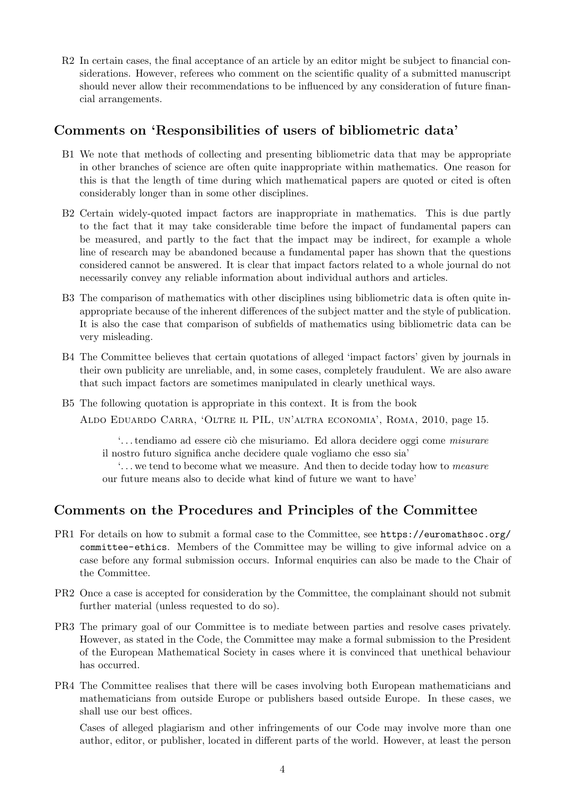R2 In certain cases, the final acceptance of an article by an editor might be subject to financial considerations. However, referees who comment on the scientific quality of a submitted manuscript should never allow their recommendations to be influenced by any consideration of future financial arrangements.

### Comments on 'Responsibilities of users of bibliometric data'

- B1 We note that methods of collecting and presenting bibliometric data that may be appropriate in other branches of science are often quite inappropriate within mathematics. One reason for this is that the length of time during which mathematical papers are quoted or cited is often considerably longer than in some other disciplines.
- B2 Certain widely-quoted impact factors are inappropriate in mathematics. This is due partly to the fact that it may take considerable time before the impact of fundamental papers can be measured, and partly to the fact that the impact may be indirect, for example a whole line of research may be abandoned because a fundamental paper has shown that the questions considered cannot be answered. It is clear that impact factors related to a whole journal do not necessarily convey any reliable information about individual authors and articles.
- B3 The comparison of mathematics with other disciplines using bibliometric data is often quite inappropriate because of the inherent differences of the subject matter and the style of publication. It is also the case that comparison of subfields of mathematics using bibliometric data can be very misleading.
- B4 The Committee believes that certain quotations of alleged 'impact factors' given by journals in their own publicity are unreliable, and, in some cases, completely fraudulent. We are also aware that such impact factors are sometimes manipulated in clearly unethical ways.
- B5 The following quotation is appropriate in this context. It is from the book

Aldo Eduardo Carra, 'Oltre il PIL, un'altra economia', Roma, 2010, page 15.

... tendiamo ad essere ciò che misuriamo. Ed allora decidere oggi come misurare il nostro futuro significa anche decidere quale vogliamo che esso sia'

'. . . we tend to become what we measure. And then to decide today how to measure our future means also to decide what kind of future we want to have'

# Comments on the Procedures and Principles of the Committee

- PR1 For details on how to submit a formal case to the Committee, see https://euromathsoc.org/ committee-ethics. Members of the Committee may be willing to give informal advice on a case before any formal submission occurs. Informal enquiries can also be made to the Chair of the Committee.
- PR2 Once a case is accepted for consideration by the Committee, the complainant should not submit further material (unless requested to do so).
- PR3 The primary goal of our Committee is to mediate between parties and resolve cases privately. However, as stated in the Code, the Committee may make a formal submission to the President of the European Mathematical Society in cases where it is convinced that unethical behaviour has occurred.
- PR4 The Committee realises that there will be cases involving both European mathematicians and mathematicians from outside Europe or publishers based outside Europe. In these cases, we shall use our best offices.

Cases of alleged plagiarism and other infringements of our Code may involve more than one author, editor, or publisher, located in different parts of the world. However, at least the person